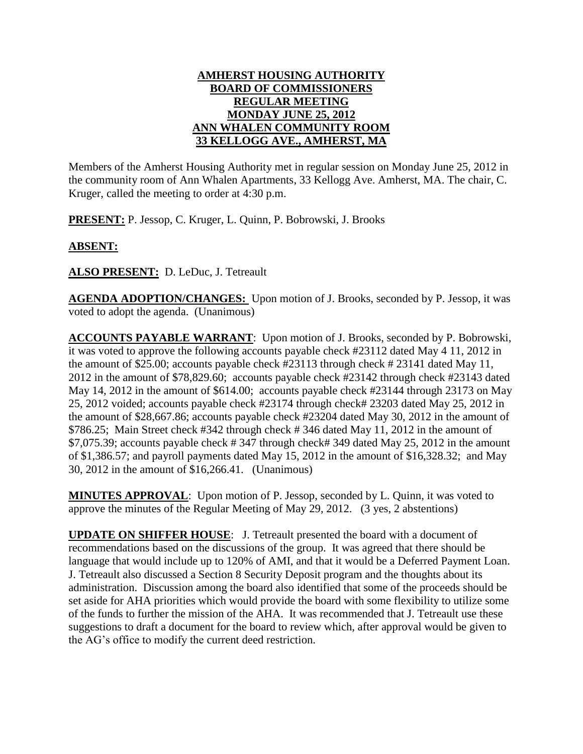## **AMHERST HOUSING AUTHORITY BOARD OF COMMISSIONERS REGULAR MEETING MONDAY JUNE 25, 2012 ANN WHALEN COMMUNITY ROOM 33 KELLOGG AVE., AMHERST, MA**

Members of the Amherst Housing Authority met in regular session on Monday June 25, 2012 in the community room of Ann Whalen Apartments, 33 Kellogg Ave. Amherst, MA. The chair, C. Kruger, called the meeting to order at 4:30 p.m.

**PRESENT:** P. Jessop, C. Kruger, L. Quinn, P. Bobrowski, J. Brooks

## **ABSENT:**

**ALSO PRESENT:** D. LeDuc, J. Tetreault

**AGENDA ADOPTION/CHANGES:** Upon motion of J. Brooks, seconded by P. Jessop, it was voted to adopt the agenda. (Unanimous)

**ACCOUNTS PAYABLE WARRANT**: Upon motion of J. Brooks, seconded by P. Bobrowski, it was voted to approve the following accounts payable check #23112 dated May 4 11, 2012 in the amount of \$25.00; accounts payable check #23113 through check # 23141 dated May 11, 2012 in the amount of \$78,829.60; accounts payable check #23142 through check #23143 dated May 14, 2012 in the amount of \$614.00; accounts payable check #23144 through 23173 on May 25, 2012 voided; accounts payable check #23174 through check# 23203 dated May 25, 2012 in the amount of \$28,667.86; accounts payable check #23204 dated May 30, 2012 in the amount of \$786.25; Main Street check #342 through check # 346 dated May 11, 2012 in the amount of \$7,075.39; accounts payable check # 347 through check# 349 dated May 25, 2012 in the amount of \$1,386.57; and payroll payments dated May 15, 2012 in the amount of \$16,328.32; and May 30, 2012 in the amount of \$16,266.41. (Unanimous)

**MINUTES APPROVAL**: Upon motion of P. Jessop, seconded by L. Quinn, it was voted to approve the minutes of the Regular Meeting of May 29, 2012. (3 yes, 2 abstentions)

**UPDATE ON SHIFFER HOUSE**: J. Tetreault presented the board with a document of recommendations based on the discussions of the group. It was agreed that there should be language that would include up to 120% of AMI, and that it would be a Deferred Payment Loan. J. Tetreault also discussed a Section 8 Security Deposit program and the thoughts about its administration. Discussion among the board also identified that some of the proceeds should be set aside for AHA priorities which would provide the board with some flexibility to utilize some of the funds to further the mission of the AHA. It was recommended that J. Tetreault use these suggestions to draft a document for the board to review which, after approval would be given to the AG's office to modify the current deed restriction.